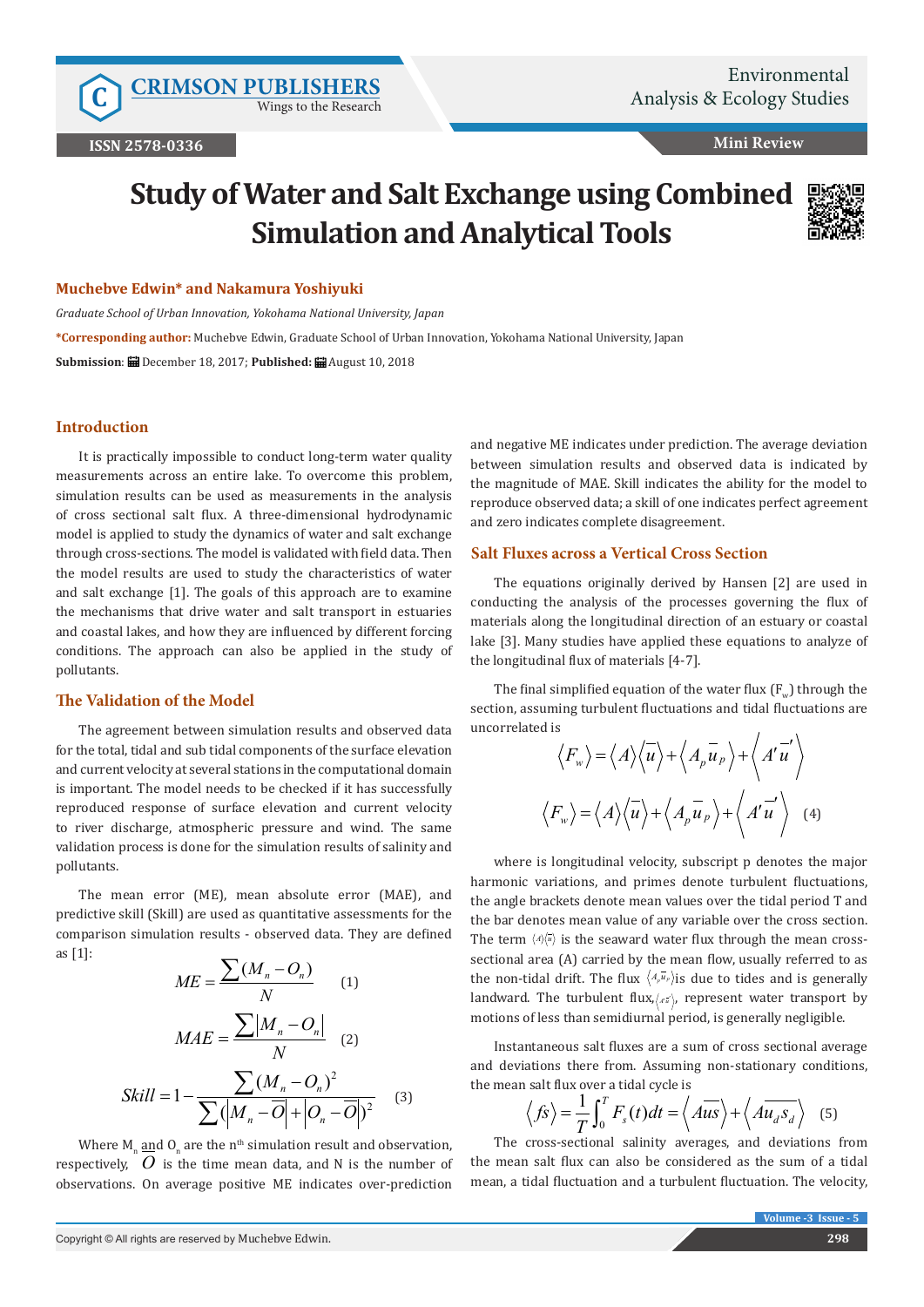Wings to the Research

**Mini Review**

# **Study of Water and Salt Exchange using Combined Simulation and Analytical Tools**



### **Muchebve Edwin\* and Nakamura Yoshiyuki**

*Graduate School of Urban Innovation, Yokohama National University, Japan* **\*Corresponding author:** Muchebve Edwin, Graduate School of Urban Innovation, Yokohama National University, Japan **Submission**: December 18, 2017; **Published:** August 10, 2018

# **Introduction**

It is practically impossible to conduct long-term water quality measurements across an entire lake. To overcome this problem, simulation results can be used as measurements in the analysis of cross sectional salt flux. A three-dimensional hydrodynamic model is applied to study the dynamics of water and salt exchange through cross-sections. The model is validated with field data. Then the model results are used to study the characteristics of water and salt exchange [1]. The goals of this approach are to examine the mechanisms that drive water and salt transport in estuaries and coastal lakes, and how they are influenced by different forcing conditions. The approach can also be applied in the study of pollutants.

### **The Validation of the Model**

The agreement between simulation results and observed data for the total, tidal and sub tidal components of the surface elevation and current velocity at several stations in the computational domain is important. The model needs to be checked if it has successfully reproduced response of surface elevation and current velocity to river discharge, atmospheric pressure and wind. The same validation process is done for the simulation results of salinity and pollutants.

The mean error (ME), mean absolute error (MAE), and predictive skill (Skill) are used as quantitative assessments for the comparison simulation results - observed data. They are defined as [1]:

$$
ME = \frac{\sum (M_n - O_n)}{N}
$$
(1)  

$$
MAE = \frac{\sum |M_n - O_n|}{N}
$$
(2)  

$$
Skill = 1 - \frac{\sum (M_n - O_n)^2}{\sum (M_n - \overline{O}) + |\overline{O}_n - \overline{O}|^2}
$$
(3)

Where  $M_n \underline{\text{and}} O_n$  are the n<sup>th</sup> simulation result and observation, respectively,  $\hat{O}$  is the time mean data, and N is the number of observations. On average positive ME indicates over-prediction

and negative ME indicates under prediction. The average deviation between simulation results and observed data is indicated by the magnitude of MAE. Skill indicates the ability for the model to reproduce observed data; a skill of one indicates perfect agreement and zero indicates complete disagreement.

# **Salt Fluxes across a Vertical Cross Section**

The equations originally derived by Hansen [2] are used in conducting the analysis of the processes governing the flux of materials along the longitudinal direction of an estuary or coastal lake [3]. Many studies have applied these equations to analyze of the longitudinal flux of materials [4-7].

The final simplified equation of the water flux  $(F_{w})$  through the section, assuming turbulent fluctuations and tidal fluctuations are uncorrelated is

$$
\langle F_w \rangle = \langle A \rangle \langle \overline{u} \rangle + \langle A_p \overline{u}_p \rangle + \langle A' \overline{u}' \rangle
$$
  

$$
\langle F_w \rangle = \langle A \rangle \langle \overline{u} \rangle + \langle A_p \overline{u}_p \rangle + \langle A' \overline{u}' \rangle \quad (4)
$$

where is longitudinal velocity, subscript p denotes the major harmonic variations, and primes denote turbulent fluctuations, the angle brackets denote mean values over the tidal period T and the bar denotes mean value of any variable over the cross section. The term  $\langle A \rangle \langle \bar{u} \rangle$  is the seaward water flux through the mean crosssectional area (A) carried by the mean flow, usually referred to as the non-tidal drift. The flux  $\langle A_{\rho} \bar{u}_{\rho} \rangle$  is due to tides and is generally landward. The turbulent flux, (*A*<sup>2</sup>), represent water transport by motions of less than semidiurnal period, is generally negligible.

Instantaneous salt fluxes are a sum of cross sectional average and deviations there from. Assuming non-stationary conditions, the mean salt flux over a tidal cycle is

$$
\langle f\hat{s}\rangle = \frac{1}{T} \int_0^T F_s(t) dt = \langle A\overline{us}\rangle + \langle A\overline{u_d s_d}\rangle
$$
 (5)

The cross-sectional salinity averages, and deviations from the mean salt flux can also be considered as the sum of a tidal mean, a tidal fluctuation and a turbulent fluctuation. The velocity,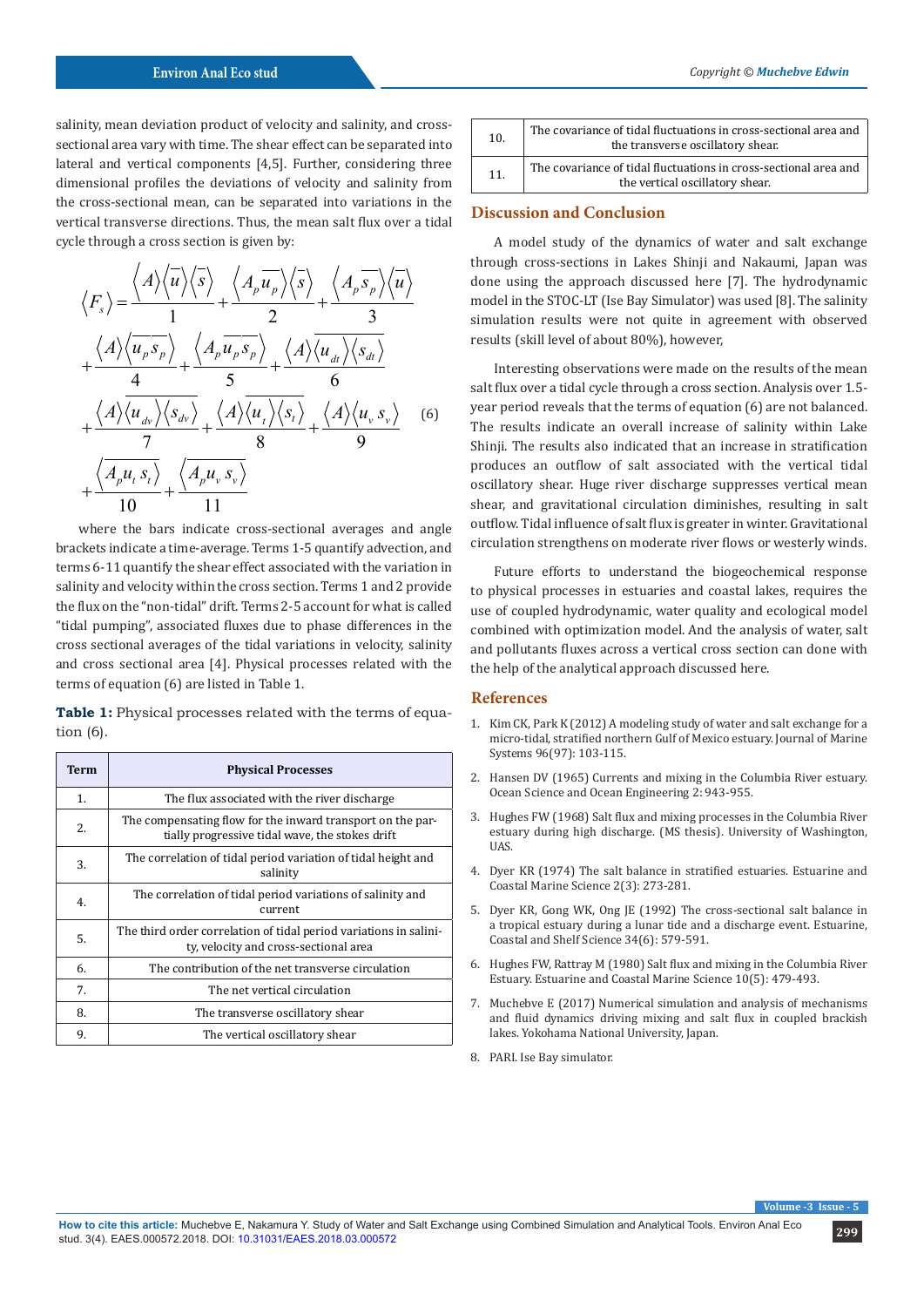salinity, mean deviation product of velocity and salinity, and crosssectional area vary with time. The shear effect can be separated into lateral and vertical components [4,5]. Further, considering three dimensional profiles the deviations of velocity and salinity from the cross-sectional mean, can be separated into variations in the vertical transverse directions. Thus, the mean salt flux over a tidal cycle through a cross section is given by:

$$
\langle F_s \rangle = \frac{\langle A \rangle \langle \overline{u} \rangle \langle \overline{s} \rangle}{1} + \frac{\langle A_p \overline{u_p} \rangle \langle \overline{s} \rangle}{2} + \frac{\langle A_p \overline{s_p} \rangle \langle \overline{u} \rangle}{3} + \frac{\langle A \rangle \langle \overline{u_p s_p} \rangle}{4} + \frac{\langle A \rangle \langle \overline{u_p s_p} \rangle}{5} + \frac{\langle A \rangle \langle \overline{u_a} \rangle \langle s_a \rangle}{6} + \frac{\langle A \rangle \langle \overline{u_a} \rangle \langle s_a \rangle}{7} + \frac{\langle A \rangle \langle \overline{u_a} \rangle \langle s_b \rangle}{8} + \frac{\langle A \rangle \langle \overline{u_r} s_s \rangle}{9} + \frac{\langle \overline{A_p u_r s_r} \rangle}{10} + \frac{\langle \overline{A_p u_r s_r} \rangle}{11}
$$
 (6)

where the bars indicate cross-sectional averages and angle brackets indicate a time-average. Terms 1-5 quantify advection, and terms 6-11 quantify the shear effect associated with the variation in salinity and velocity within the cross section. Terms 1 and 2 provide the flux on the "non-tidal" drift. Terms 2-5 account for what is called "tidal pumping", associated fluxes due to phase differences in the cross sectional averages of the tidal variations in velocity, salinity and cross sectional area [4]. Physical processes related with the terms of equation (6) are listed in Table 1.

**Table 1:** Physical processes related with the terms of equation (6).

| Term | <b>Physical Processes</b>                                                                                     |
|------|---------------------------------------------------------------------------------------------------------------|
| 1.   | The flux associated with the river discharge                                                                  |
| 2.   | The compensating flow for the inward transport on the par-<br>tially progressive tidal wave, the stokes drift |
| 3.   | The correlation of tidal period variation of tidal height and<br>salinity                                     |
| 4.   | The correlation of tidal period variations of salinity and<br>current                                         |
| 5.   | The third order correlation of tidal period variations in salini-<br>ty, velocity and cross-sectional area    |
| 6.   | The contribution of the net transverse circulation                                                            |
| 7.   | The net vertical circulation                                                                                  |
| 8.   | The transverse oscillatory shear                                                                              |
| 9.   | The vertical oscillatory shear                                                                                |

| 10. | The covariance of tidal fluctuations in cross-sectional area and<br>the transverse oscillatory shear. |
|-----|-------------------------------------------------------------------------------------------------------|
| 11. | The covariance of tidal fluctuations in cross-sectional area and<br>the vertical oscillatory shear.   |

# **Discussion and Conclusion**

A model study of the dynamics of water and salt exchange through cross-sections in Lakes Shinji and Nakaumi, Japan was done using the approach discussed here [7]. The hydrodynamic model in the STOC-LT (Ise Bay Simulator) was used [8]. The salinity simulation results were not quite in agreement with observed results (skill level of about 80%), however,

Interesting observations were made on the results of the mean salt flux over a tidal cycle through a cross section. Analysis over 1.5 year period reveals that the terms of equation (6) are not balanced. The results indicate an overall increase of salinity within Lake Shinji. The results also indicated that an increase in stratification produces an outflow of salt associated with the vertical tidal oscillatory shear. Huge river discharge suppresses vertical mean shear, and gravitational circulation diminishes, resulting in salt outflow. Tidal influence of salt flux is greater in winter. Gravitational circulation strengthens on moderate river flows or westerly winds.

Future efforts to understand the biogeochemical response to physical processes in estuaries and coastal lakes, requires the use of coupled hydrodynamic, water quality and ecological model combined with optimization model. And the analysis of water, salt and pollutants fluxes across a vertical cross section can done with the help of the analytical approach discussed here.

#### **References**

- 1. Kim CK, Park K (2012) A modeling study of water and salt exchange for a micro-tidal, stratified northern Gulf of Mexico estuary. Journal of Marine Systems 96(97): 103-115.
- 2. Hansen DV (1965) Currents and mixing in the Columbia River estuary. Ocean Science and Ocean Engineering 2: 943-955.
- 3. Hughes FW (1968) Salt flux and mixing processes in the Columbia River estuary during high discharge. (MS thesis). University of Washington, UAS.
- 4. [Dyer KR \(1974\) The salt balance in stratified estuaries. Estuarine and](https://www.sciencedirect.com/science/article/pii/0302352474900176) [Coastal Marine Science 2\(3\): 273-281.](https://www.sciencedirect.com/science/article/pii/0302352474900176)
- 5. [Dyer KR, Gong WK, Ong JE \(1992\) The cross-sectional salt balance in](https://www.sciencedirect.com/science/article/pii/S0272771405800630) [a tropical estuary during a lunar tide and a discharge event. Estuarine,](https://www.sciencedirect.com/science/article/pii/S0272771405800630) [Coastal and Shelf Science 34\(6\): 579-591.](https://www.sciencedirect.com/science/article/pii/S0272771405800630)
- 6. [Hughes FW, Rattray M \(1980\) Salt flux and mixing in the Columbia River](https://www.sciencedirect.com/science/article/pii/S0302352480800703) [Estuary. Estuarine and Coastal Marine Science 10\(5\): 479-493.](https://www.sciencedirect.com/science/article/pii/S0302352480800703)
- 7. Muchebve E (2017) Numerical simulation and analysis of mechanisms and fluid dynamics driving mixing and salt flux in coupled brackish lakes. Yokohama National University, Japan.
- 8. PARI. Ise Bay simulator.